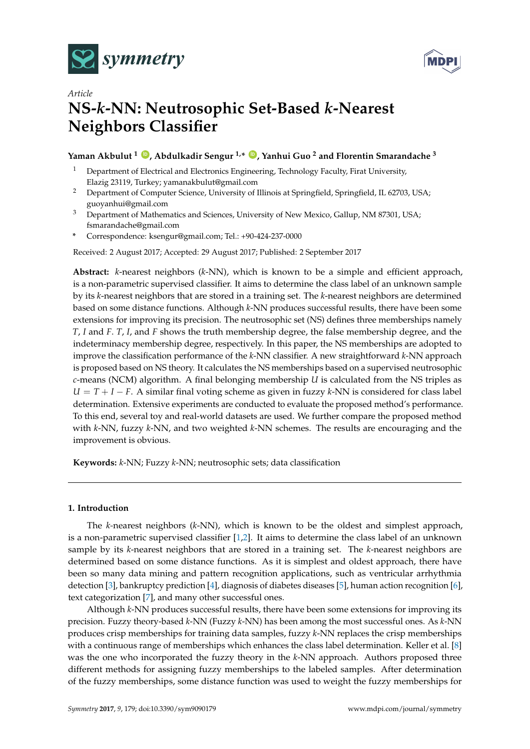



# *Article* **NS-***k***-NN: Neutrosophic Set-Based** *k***-Nearest Neighbors Classifier**

# **Yaman Akbulut <sup>1</sup> [ID](https://orcid.org/0000-0002-4760-4843) , Abdulkadir Sengur 1,\* [ID](https://orcid.org/0000-0003-1614-2639) , Yanhui Guo <sup>2</sup> and Florentin Smarandache <sup>3</sup>**

- <sup>1</sup> Department of Electrical and Electronics Engineering, Technology Faculty, Firat University, Elazig 23119, Turkey; yamanakbulut@gmail.com
- <sup>2</sup> Department of Computer Science, University of Illinois at Springfield, Springfield, IL 62703, USA; guoyanhui@gmail.com
- <sup>3</sup> Department of Mathematics and Sciences, University of New Mexico, Gallup, NM 87301, USA; fsmarandache@gmail.com
- **\*** Correspondence: ksengur@gmail.com; Tel.: +90-424-237-0000

Received: 2 August 2017; Accepted: 29 August 2017; Published: 2 September 2017

**Abstract:** *k*-nearest neighbors (*k*-NN), which is known to be a simple and efficient approach, is a non-parametric supervised classifier. It aims to determine the class label of an unknown sample by its *k*-nearest neighbors that are stored in a training set. The *k*-nearest neighbors are determined based on some distance functions. Although *k*-NN produces successful results, there have been some extensions for improving its precision. The neutrosophic set (NS) defines three memberships namely *T*, *I* and *F*. *T*, *I*, and *F* shows the truth membership degree, the false membership degree, and the indeterminacy membership degree, respectively. In this paper, the NS memberships are adopted to improve the classification performance of the *k*-NN classifier. A new straightforward *k*-NN approach is proposed based on NS theory. It calculates the NS memberships based on a supervised neutrosophic *c*-means (NCM) algorithm. A final belonging membership *U* is calculated from the NS triples as *U* = *T* + *I* − *F*. A similar final voting scheme as given in fuzzy *k*-NN is considered for class label determination. Extensive experiments are conducted to evaluate the proposed method's performance. To this end, several toy and real-world datasets are used. We further compare the proposed method with *k*-NN, fuzzy *k*-NN, and two weighted *k*-NN schemes. The results are encouraging and the improvement is obvious.

**Keywords:** *k*-NN; Fuzzy *k*-NN; neutrosophic sets; data classification

# **1. Introduction**

The *k-*nearest neighbors (*k*-NN), which is known to be the oldest and simplest approach, is a non-parametric supervised classifier [\[1,](#page-8-0)[2\]](#page-8-1). It aims to determine the class label of an unknown sample by its *k*-nearest neighbors that are stored in a training set. The *k*-nearest neighbors are determined based on some distance functions. As it is simplest and oldest approach, there have been so many data mining and pattern recognition applications, such as ventricular arrhythmia detection [\[3\]](#page-8-2), bankruptcy prediction [\[4\]](#page-8-3), diagnosis of diabetes diseases [\[5\]](#page-8-4), human action recognition [\[6\]](#page-8-5), text categorization [\[7\]](#page-8-6), and many other successful ones.

Although *k*-NN produces successful results, there have been some extensions for improving its precision. Fuzzy theory-based *k*-NN (Fuzzy *k*-NN) has been among the most successful ones. As *k*-NN produces crisp memberships for training data samples, fuzzy *k*-NN replaces the crisp memberships with a continuous range of memberships which enhances the class label determination. Keller et al. [\[8\]](#page-8-7) was the one who incorporated the fuzzy theory in the *k*-NN approach. Authors proposed three different methods for assigning fuzzy memberships to the labeled samples. After determination of the fuzzy memberships, some distance function was used to weight the fuzzy memberships for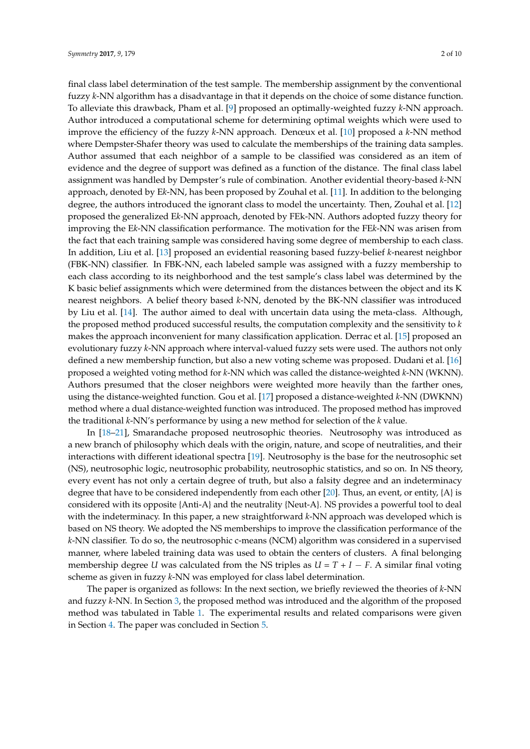final class label determination of the test sample. The membership assignment by the conventional fuzzy *k*-NN algorithm has a disadvantage in that it depends on the choice of some distance function. To alleviate this drawback, Pham et al. [\[9\]](#page-8-8) proposed an optimally-weighted fuzzy *k*-NN approach. Author introduced a computational scheme for determining optimal weights which were used to improve the efficiency of the fuzzy *k*-NN approach. Denœux et al. [\[10\]](#page-8-9) proposed a *k*-NN method where Dempster-Shafer theory was used to calculate the memberships of the training data samples. Author assumed that each neighbor of a sample to be classified was considered as an item of evidence and the degree of support was defined as a function of the distance. The final class label assignment was handled by Dempster's rule of combination. Another evidential theory-based *k*-NN approach, denoted by E*k*-NN, has been proposed by Zouhal et al. [\[11\]](#page-8-10). In addition to the belonging degree, the authors introduced the ignorant class to model the uncertainty. Then, Zouhal et al. [\[12\]](#page-8-11) proposed the generalized E*k*-NN approach, denoted by FEk-NN. Authors adopted fuzzy theory for improving the E*k*-NN classification performance. The motivation for the FE*k*-NN was arisen from the fact that each training sample was considered having some degree of membership to each class. In addition, Liu et al. [\[13\]](#page-8-12) proposed an evidential reasoning based fuzzy-belief *k*-nearest neighbor (FBK-NN) classifier. In FBK-NN, each labeled sample was assigned with a fuzzy membership to each class according to its neighborhood and the test sample's class label was determined by the K basic belief assignments which were determined from the distances between the object and its K nearest neighbors. A belief theory based *k*-NN, denoted by the BK-NN classifier was introduced by Liu et al. [\[14\]](#page-8-13). The author aimed to deal with uncertain data using the meta-class. Although, the proposed method produced successful results, the computation complexity and the sensitivity to *k* makes the approach inconvenient for many classification application. Derrac et al. [\[15\]](#page-8-14) proposed an evolutionary fuzzy *k*-NN approach where interval-valued fuzzy sets were used. The authors not only defined a new membership function, but also a new voting scheme was proposed. Dudani et al. [\[16\]](#page-8-15) proposed a weighted voting method for *k*-NN which was called the distance-weighted *k*-NN (WKNN). Authors presumed that the closer neighbors were weighted more heavily than the farther ones, using the distance-weighted function. Gou et al. [\[17\]](#page-8-16) proposed a distance-weighted *k*-NN (DWKNN) method where a dual distance-weighted function was introduced. The proposed method has improved the traditional *k*-NN's performance by using a new method for selection of the *k* value.

In [\[18](#page-8-17)[–21\]](#page-9-0), Smarandache proposed neutrosophic theories. Neutrosophy was introduced as a new branch of philosophy which deals with the origin, nature, and scope of neutralities, and their interactions with different ideational spectra [\[19\]](#page-8-18). Neutrosophy is the base for the neutrosophic set (NS), neutrosophic logic, neutrosophic probability, neutrosophic statistics, and so on. In NS theory, every event has not only a certain degree of truth, but also a falsity degree and an indeterminacy degree that have to be considered independently from each other [\[20\]](#page-9-1). Thus, an event, or entity, {A} is considered with its opposite {Anti-A} and the neutrality {Neut-A}. NS provides a powerful tool to deal with the indeterminacy. In this paper, a new straightforward *k*-NN approach was developed which is based on NS theory. We adopted the NS memberships to improve the classification performance of the *k*-NN classifier. To do so, the neutrosophic c-means (NCM) algorithm was considered in a supervised manner, where labeled training data was used to obtain the centers of clusters. A final belonging membership degree *U* was calculated from the NS triples as  $U = T + I - F$ . A similar final voting scheme as given in fuzzy *k*-NN was employed for class label determination.

The paper is organized as follows: In the next section, we briefly reviewed the theories of *k*-NN and fuzzy *k*-NN. In Section [3,](#page-2-0) the proposed method was introduced and the algorithm of the proposed method was tabulated in Table [1.](#page-4-0) The experimental results and related comparisons were given in Section [4.](#page-3-0) The paper was concluded in Section [5.](#page-7-0)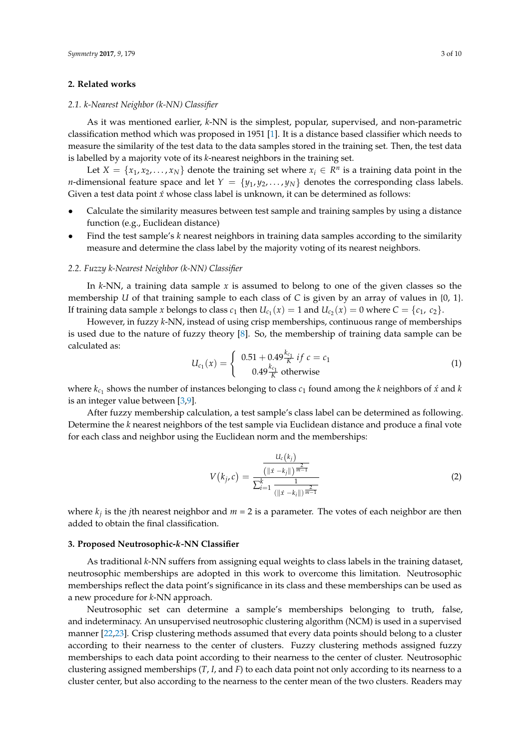#### **2. Related works**

#### *2.1. k-Nearest Neighbor (k-NN) Classifier*

As it was mentioned earlier, *k*-NN is the simplest, popular, supervised, and non-parametric classification method which was proposed in 1951 [\[1\]](#page-8-0). It is a distance based classifier which needs to measure the similarity of the test data to the data samples stored in the training set. Then, the test data is labelled by a majority vote of its *k*-nearest neighbors in the training set.

Let  $X = \{x_1, x_2, ..., x_N\}$  denote the training set where  $x_i \in \mathbb{R}^n$  is a training data point in the *n*-dimensional feature space and let  $Y = \{y_1, y_2, \dots, y_N\}$  denotes the corresponding class labels. Given a test data point *x*´ whose class label is unknown, it can be determined as follows:

- Calculate the similarity measures between test sample and training samples by using a distance function (e.g., Euclidean distance)
- Find the test sample's *k* nearest neighbors in training data samples according to the similarity measure and determine the class label by the majority voting of its nearest neighbors.

#### *2.2. Fuzzy k-Nearest Neighbor (k-NN) Classifier*

In *k*-NN, a training data sample *x* is assumed to belong to one of the given classes so the membership *U* of that training sample to each class of *C* is given by an array of values in  $\{0, 1\}$ . If training data sample *x* belongs to class  $c_1$  then  $U_{c_1}(x) = 1$  and  $U_{c_2}(x) = 0$  where  $C = \{c_1, c_2\}$ .

However, in fuzzy *k*-NN, instead of using crisp memberships, continuous range of memberships is used due to the nature of fuzzy theory [\[8\]](#page-8-7). So, the membership of training data sample can be calculated as:

$$
U_{c_1}(x) = \begin{cases} 0.51 + 0.49 \frac{k_{c_1}}{K} \text{ if } c = c_1 \\ 0.49 \frac{k_{c_1}}{K} \text{ otherwise} \end{cases}
$$
 (1)

where  $k_{c_1}$  shows the number of instances belonging to class  $c_1$  found among the  $k$  neighbors of  $\acute{x}$  and  $k$ is an integer value between [\[3,](#page-8-2)[9\]](#page-8-8).

After fuzzy membership calculation, a test sample's class label can be determined as following. Determine the *k* nearest neighbors of the test sample via Euclidean distance and produce a final vote for each class and neighbor using the Euclidean norm and the memberships:

$$
V(k_j, c) = \frac{\frac{U_c(k_j)}{\left(\|x - k_j\|\right)^{\frac{2}{m-1}}}}{\sum_{i=1}^k \frac{1}{\left(\|x - k_i\|\right)^{\frac{2}{m-1}}}}
$$
(2)

where *k<sup>j</sup>* is the *j*th nearest neighbor and *m* = 2 is a parameter. The votes of each neighbor are then added to obtain the final classification.

#### <span id="page-2-0"></span>**3. Proposed Neutrosophic-***k-***NN Classifier**

As traditional *k*-NN suffers from assigning equal weights to class labels in the training dataset, neutrosophic memberships are adopted in this work to overcome this limitation. Neutrosophic memberships reflect the data point's significance in its class and these memberships can be used as a new procedure for *k*-NN approach.

Neutrosophic set can determine a sample's memberships belonging to truth, false, and indeterminacy. An unsupervised neutrosophic clustering algorithm (NCM) is used in a supervised manner [\[22,](#page-9-2)[23\]](#page-9-3). Crisp clustering methods assumed that every data points should belong to a cluster according to their nearness to the center of clusters. Fuzzy clustering methods assigned fuzzy memberships to each data point according to their nearness to the center of cluster. Neutrosophic clustering assigned memberships (*T*, *I*, and *F*) to each data point not only according to its nearness to a cluster center, but also according to the nearness to the center mean of the two clusters. Readers may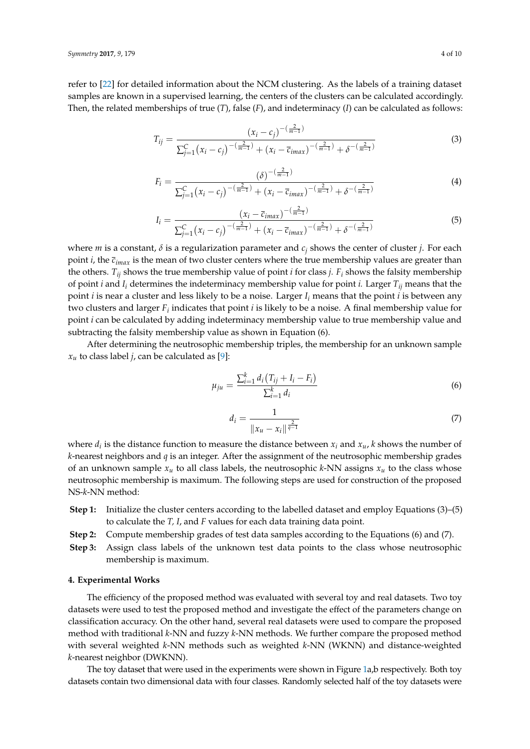refer to [\[22\]](#page-9-2) for detailed information about the NCM clustering. As the labels of a training dataset samples are known in a supervised learning, the centers of the clusters can be calculated accordingly. Then, the related memberships of true (*T*), false (*F*), and indeterminacy (*I*) can be calculated as follows:

$$
T_{ij} = \frac{(x_i - c_j)^{-(\frac{2}{m-1})}}{\sum_{j=1}^{C} (x_i - c_j)^{-(\frac{2}{m-1})} + (x_i - \overline{c}_{imax})^{-(\frac{2}{m-1})} + \delta^{-(\frac{2}{m-1})}}
$$
(3)

$$
F_i = \frac{(\delta)^{-(\frac{2}{m-1})}}{\sum_{j=1}^{C} (x_i - c_j)^{-(\frac{2}{m-1})} + (x_i - \overline{c}_{imax})^{-(\frac{2}{m-1})} + \delta^{-(\frac{2}{m-1})}}
$$
(4)

$$
I_i = \frac{(x_i - \overline{c}_{imax})^{-(\frac{2}{m-1})}}{\sum_{j=1}^{C} (x_i - c_j)^{-(\frac{2}{m-1})} + (x_i - \overline{c}_{imax})^{-(\frac{2}{m-1})} + \delta^{-(\frac{2}{m-1})}}
$$
(5)

where *m* is a constant,  $\delta$  is a regularization parameter and  $c_j$  shows the center of cluster *j*. For each point *i*, the  $\bar{c}_{imax}$  is the mean of two cluster centers where the true membership values are greater than the others.  $T_{ij}$  shows the true membership value of point *i* for class *j*.  $F_i$  shows the falsity membership of point *i* and *I<sup>i</sup>* determines the indeterminacy membership value for point *i.* Larger *Tij* means that the point *i* is near a cluster and less likely to be a noise. Larger *I<sup>i</sup>* means that the point *i* is between any two clusters and larger *F<sup>i</sup>* indicates that point *i* is likely to be a noise. A final membership value for point *i* can be calculated by adding indeterminacy membership value to true membership value and subtracting the falsity membership value as shown in Equation (6).

After determining the neutrosophic membership triples, the membership for an unknown sample  $x<sub>u</sub>$  to class label *j*, can be calculated as [\[9\]](#page-8-8):

$$
\mu_{ju} = \frac{\sum_{i=1}^{k} d_i (T_{ij} + I_i - F_i)}{\sum_{i=1}^{k} d_i} \tag{6}
$$

$$
d_i = \frac{1}{\|x_u - x_i\|^{\frac{2}{q-1}}}
$$
\n(7)

where  $d_i$  is the distance function to measure the distance between  $x_i$  and  $x_u$ ,  $k$  shows the number of *k*-nearest neighbors and *q* is an integer. After the assignment of the neutrosophic membership grades of an unknown sample  $x_u$  to all class labels, the neutrosophic  $k$ -NN assigns  $x_u$  to the class whose neutrosophic membership is maximum. The following steps are used for construction of the proposed NS-*k*-NN method:

- **Step 1:** Initialize the cluster centers according to the labelled dataset and employ Equations (3)–(5) to calculate the *T, I*, and *F* values for each data training data point.
- **Step 2:** Compute membership grades of test data samples according to the Equations (6) and (7).
- **Step 3:** Assign class labels of the unknown test data points to the class whose neutrosophic membership is maximum.

# <span id="page-3-0"></span>**4. Experimental Works**

The efficiency of the proposed method was evaluated with several toy and real datasets. Two toy datasets were used to test the proposed method and investigate the effect of the parameters change on classification accuracy. On the other hand, several real datasets were used to compare the proposed method with traditional *k*-NN and fuzzy *k*-NN methods. We further compare the proposed method with several weighted *k*-NN methods such as weighted *k*-NN (WKNN) and distance-weighted *k*-nearest neighbor (DWKNN).

The toy dataset that were used in the experiments were shown in Figure [1a](#page-4-1),b respectively. Both toy datasets contain two dimensional data with four classes. Randomly selected half of the toy datasets were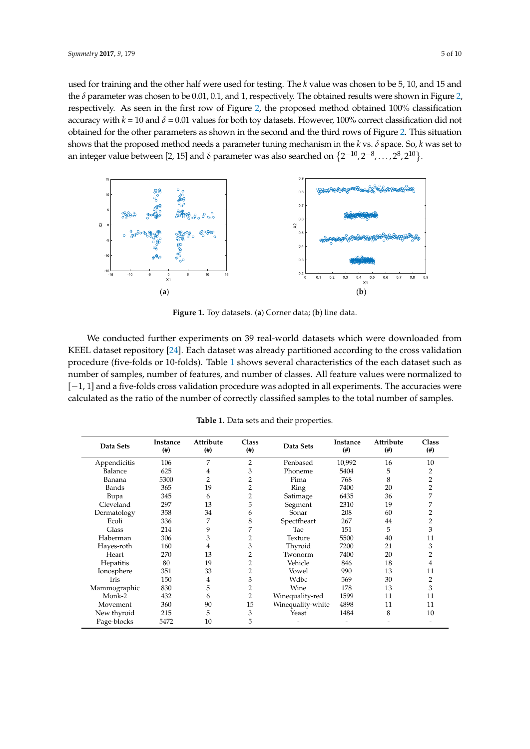used for training and the other half were used for testing. The *k* value was chosen to be 5, 10, and 15 and the *δ* parameter was chosen to be 0.01, 0.1, and 1, respectively. The obtained results were shown in Figure [2,](#page-5-0) respectively. As seen in the first row of Figure [2,](#page-5-0) the proposed method obtained 100% classification accuracy with  $k = 10$  and  $\delta = 0.01$  values for both toy datasets. However, 100% correct classification did not obtained for the other parameters as shown in the second and the third rows of Figure [2.](#page-5-0) This situation shows that the proposed method needs a parameter tuning mechanism in the *k* vs.  $\delta$  space. So, *k* was set to an integer value between [2, 15] and δ parameter was also searched on  $\{2^{-10}, 2^{-8}, ..., 2^8, 2^{10}\}.$ 

<span id="page-4-1"></span>

**Figure 1.** Toy datasets. (**a**) Corner data; (**b**) line data. **Figure 1.** Toy datasets. (**a**) Corner data; (**b**) line data.

EL<br>oce<br>mb<br>1, 1<br>cul We conducted further experiments on 39 real-world datasets which were downloaded from KEEL dataset repository [\[24\]](#page-9-4). Each dataset was already partitioned according to the cross validation procedure (five-folds or 10-folds). Table [1](#page-4-0) shows several characteristics of the each dataset such as number of samples, number of features, and number of classes. All feature values were normalized to [−1, 1] and a five-folds cross validation procedure was adopted in all experiments. The accuracies were calculated as the ratio of the number of correctly classified samples to the total number of samples.

<span id="page-4-0"></span>

| Data Sets    | Instance<br>$($ # $)$ | Attribute<br>$($ # $)$ | Class<br>$($ # $)$ | Data Sets         | Instance<br>$($ # $)$ | Attribute<br>$($ # $)$ | Class<br>$(\#)$ |
|--------------|-----------------------|------------------------|--------------------|-------------------|-----------------------|------------------------|-----------------|
| Appendicitis | 106                   | 7                      | $\overline{2}$     | Penbased          | 10,992                | 16                     | 10              |
| Balance      | 625                   | 4                      | 3                  | Phoneme           | 5404                  | 5                      | 2               |
| Banana       | 5300                  | $\overline{2}$         | $\overline{2}$     | Pima              | 768                   | 8                      | $\overline{2}$  |
| <b>Bands</b> | 365                   | 19                     | $\overline{2}$     | Ring              | 7400                  | 20                     | 2               |
| Bupa         | 345                   | 6                      | $\overline{2}$     | Satimage          | 6435                  | 36                     | 7               |
| Cleveland    | 297                   | 13                     | 5                  | Segment           | 2310                  | 19                     | 7               |
| Dermatology  | 358                   | 34                     | 6                  | Sonar             | 208                   | 60                     | $\overline{2}$  |
| Ecoli        | 336                   | 7                      | 8                  | Spectfheart       | 267                   | 44                     | $\overline{2}$  |
| Glass        | 214                   | 9                      | $\overline{7}$     | Tae               | 151                   | 5                      | 3               |
| Haberman     | 306                   | 3                      | $\overline{2}$     | Texture           | 5500                  | 40                     | 11              |
| Hayes-roth   | 160                   | 4                      | 3                  | Thyroid           | 7200                  | 21                     | 3               |
| Heart        | 270                   | 13                     | 2                  | Twonorm           | 7400                  | 20                     | 2               |
| Hepatitis    | 80                    | 19                     | 2                  | Vehicle           | 846                   | 18                     | 4               |
| Ionosphere   | 351                   | 33                     | $\overline{c}$     | Vowel             | 990                   | 13                     | 11              |
| <b>Iris</b>  | 150                   | 4                      | 3                  | Wdbc              | 569                   | 30                     | $\overline{2}$  |
| Mammographic | 830                   | 5                      | 2                  | Wine              | 178                   | 13                     | 3               |
| $Monk-2$     | 432                   | 6                      | $\overline{2}$     | Winequality-red   | 1599                  | 11                     | 11              |
| Movement     | 360                   | 90                     | 15                 | Winequality-white | 4898                  | 11                     | 11              |
| New thyroid  | 215                   | 5                      | 3                  | Yeast             | 1484                  | 8                      | 10              |
| Page-blocks  | 5472                  | 10                     | 5                  |                   |                       |                        | -               |
|              |                       |                        |                    |                   |                       |                        |                 |

**Table 1.** Data sets and their properties.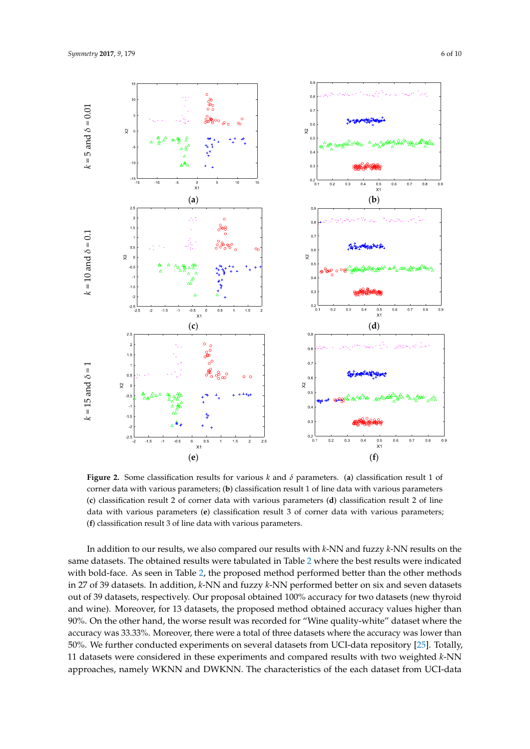

<span id="page-5-0"></span>

Figure 2. Some classification results for various  $k$  and  $\delta$  parameters. (a) classification result 1 of corner data with various parameters; (**b**) classification result 1 of line data with various parameters (c) classification result 2 of corner data with various parameters (d) classification result 2 of line data with various parameters (e) classification result 3 of corner data with various parameters; (f) classification result 3 of line data with various parameters.

In addition to our results, we also compared our results with *k*-NN and fuzzy *k*-NN results on the same datasets. The obtained results were tabulated in Table [2](#page-6-0) where the best results were indicated with bold-face. As seen in Table [2,](#page-6-0) the proposed method performed better than the other methods in 27 of 39 datasets. In addition, *k*-NN and fuzzy *k*-NN performed better on six and seven datasets out of 39 datasets, respectively. Our proposal obtained 100% accuracy for two datasets (new thyroid and wine). Moreover, for 13 datasets, the proposed method obtained accuracy values higher than 90%. On the other hand, the worse result was recorded for "Wine quality-white" dataset where the accuracy was 33.33%. Moreover, there were a total of three datasets where the accuracy was lower than 50%. We further conducted experiments on several datasets from UCI-data repository [\[25\]](#page-9-5). Totally, 11 datasets were considered in these experiments and compared results with two weighted *k*-NN approaches, namely WKNN and DWKNN. The characteristics of the each dataset from UCI-data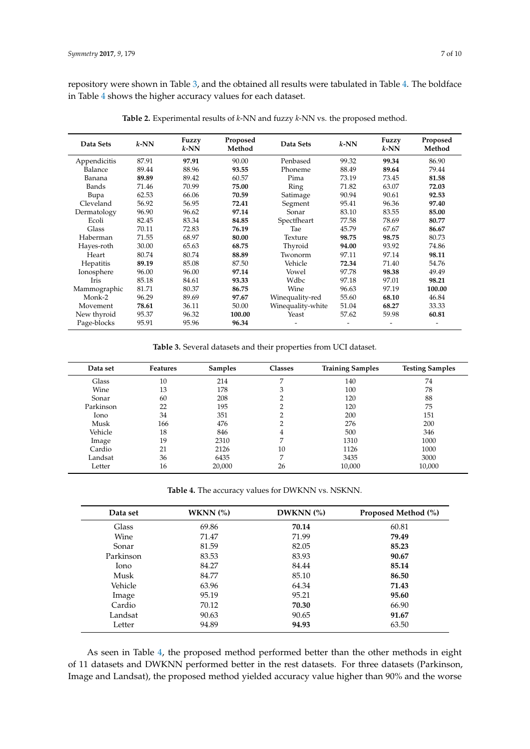repository were shown in Table [3,](#page-6-1) and the obtained all results were tabulated in Table [4.](#page-6-2) The boldface in Table [4](#page-6-2) shows the higher accuracy values for each dataset.

<span id="page-6-0"></span>

| Data Sets        | $k$ -NN | Fuzzy<br>$k$ -NN | Proposed<br>Method | Data Sets         | $k$ -NN | Fuzzy<br>$k$ -NN | Proposed<br>Method |
|------------------|---------|------------------|--------------------|-------------------|---------|------------------|--------------------|
| Appendicitis     | 87.91   | 97.91            | 90.00              | Penbased          | 99.32   | 99.34            | 86.90              |
| Balance          | 89.44   | 88.96            | 93.55              | Phoneme           | 88.49   | 89.64            | 79.44              |
| Banana           | 89.89   | 89.42            | 60.57              | Pima              | 73.19   | 73.45            | 81.58              |
| Bands            | 71.46   | 70.99            | 75.00              | <b>Ring</b>       | 71.82   | 63.07            | 72.03              |
| Bupa             | 62.53   | 66.06            | 70.59              | Satimage          | 90.94   | 90.61            | 92.53              |
| Cleveland        | 56.92   | 56.95            | 72.41              | Segment           | 95.41   | 96.36            | 97.40              |
| Dermatology      | 96.90   | 96.62            | 97.14              | Sonar             | 83.10   | 83.55            | 85.00              |
| Ecoli            | 82.45   | 83.34            | 84.85              | Spectfheart       | 77.58   | 78.69            | 80.77              |
| Glass            | 70.11   | 72.83            | 76.19              | Tae               | 45.79   | 67.67            | 86.67              |
| Haberman         | 71.55   | 68.97            | 80.00              | Texture           | 98.75   | 98.75            | 80.73              |
| Hayes-roth       | 30.00   | 65.63            | 68.75              | Thyroid           | 94.00   | 93.92            | 74.86              |
| Heart            | 80.74   | 80.74            | 88.89              | Twonorm           | 97.11   | 97.14            | 98.11              |
| <b>Hepatitis</b> | 89.19   | 85.08            | 87.50              | Vehicle           | 72.34   | 71.40            | 54.76              |
| Ionosphere       | 96.00   | 96.00            | 97.14              | Vowel             | 97.78   | 98.38            | 49.49              |
| Iris             | 85.18   | 84.61            | 93.33              | Wdbc              | 97.18   | 97.01            | 98.21              |
| Mammographic     | 81.71   | 80.37            | 86.75              | Wine              | 96.63   | 97.19            | 100.00             |
| Monk-2           | 96.29   | 89.69            | 97.67              | Winequality-red   | 55.60   | 68.10            | 46.84              |
| Movement         | 78.61   | 36.11            | 50.00              | Winequality-white | 51.04   | 68.27            | 33.33              |
| New thyroid      | 95.37   | 96.32            | 100.00             | Yeast             | 57.62   | 59.98            | 60.81              |
| Page-blocks      | 95.91   | 95.96            | 96.34              |                   |         |                  |                    |

**Table 2.** Experimental results of *k*-NN and fuzzy *k*-NN vs. the proposed method.

**Table 3.** Several datasets and their properties from UCI dataset.

<span id="page-6-1"></span>

| Data set  | <b>Features</b> | <b>Samples</b> | <b>Classes</b> | <b>Training Samples</b> | <b>Testing Samples</b> |
|-----------|-----------------|----------------|----------------|-------------------------|------------------------|
| Glass     | 10              | 214            | 7              | 140                     | 74                     |
| Wine      | 13              | 178            | 3              | 100                     | 78                     |
| Sonar     | 60              | 208            |                | 120                     | 88                     |
| Parkinson | 22              | 195            |                | 120                     | 75                     |
| Iono      | 34              | 351            |                | 200                     | 151                    |
| Musk      | 166             | 476            |                | 276                     | 200                    |
| Vehicle   | 18              | 846            | 4              | 500                     | 346                    |
| Image     | 19              | 2310           | 7              | 1310                    | 1000                   |
| Cardio    | 21              | 2126           | 10             | 1126                    | 1000                   |
| Landsat   | 36              | 6435           | 7              | 3435                    | 3000                   |
| Letter    | 16              | 20,000         | 26             | 10,000                  | 10,000                 |

**Table 4.** The accuracy values for DWKNN vs. NSKNN.

<span id="page-6-2"></span>

| Data set     | WKNN $(\%)$ | $DWKNN$ $\left(\frac{9}{6}\right)$ | Proposed Method (%) |
|--------------|-------------|------------------------------------|---------------------|
| <b>Glass</b> | 69.86       | 70.14                              | 60.81               |
| Wine         | 71.47       | 71.99                              | 79.49               |
| Sonar        | 81.59       | 82.05                              | 85.23               |
| Parkinson    | 83.53       | 83.93                              | 90.67               |
| Iono         | 84.27       | 84.44                              | 85.14               |
| Musk         | 84.77       | 85.10                              | 86.50               |
| Vehicle      | 63.96       | 64.34                              | 71.43               |
| Image        | 95.19       | 95.21                              | 95.60               |
| Cardio       | 70.12       | 70.30                              | 66.90               |
| Landsat      | 90.63       | 90.65                              | 91.67               |
| Letter       | 94.89       | 94.93                              | 63.50               |

As seen in Table [4,](#page-6-2) the proposed method performed better than the other methods in eight of 11 datasets and DWKNN performed better in the rest datasets. For three datasets (Parkinson, Image and Landsat), the proposed method yielded accuracy value higher than 90% and the worse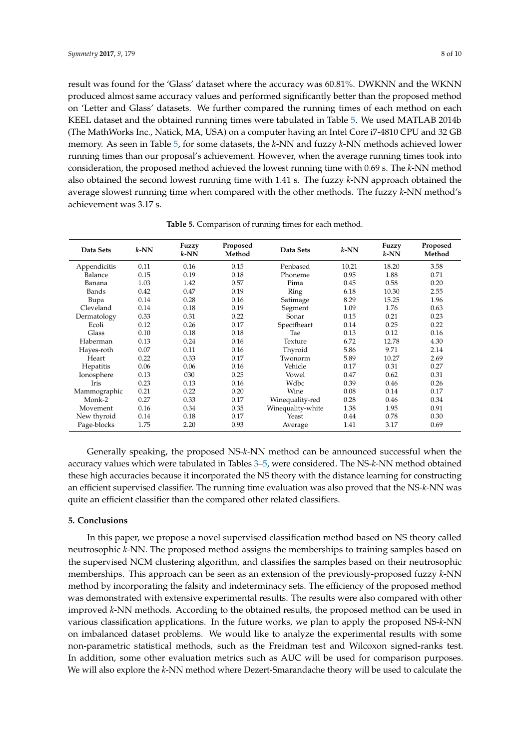result was found for the 'Glass' dataset where the accuracy was 60.81%. DWKNN and the WKNN produced almost same accuracy values and performed significantly better than the proposed method on 'Letter and Glass' datasets. We further compared the running times of each method on each KEEL dataset and the obtained running times were tabulated in Table [5.](#page-7-1) We used MATLAB 2014b (The MathWorks Inc., Natick, MA, USA) on a computer having an Intel Core i7-4810 CPU and 32 GB memory. As seen in Table [5,](#page-7-1) for some datasets, the *k*-NN and fuzzy *k*-NN methods achieved lower running times than our proposal's achievement. However, when the average running times took into consideration, the proposed method achieved the lowest running time with 0.69 s. The *k*-NN method also obtained the second lowest running time with 1.41 s. The fuzzy *k*-NN approach obtained the average slowest running time when compared with the other methods. The fuzzy *k*-NN method's achievement was 3.17 s.

<span id="page-7-1"></span>

| Data Sets    | $k$ -NN | Fuzzy<br>$k$ -NN | Proposed<br>Method | Data Sets         | $k$ -NN | Fuzzy<br>$k$ -NN | Proposed<br>Method |
|--------------|---------|------------------|--------------------|-------------------|---------|------------------|--------------------|
| Appendicitis | 0.11    | 0.16             | 0.15               | Penbased          | 10.21   | 18.20            | 3.58               |
| Balance      | 0.15    | 0.19             | 0.18               | Phoneme           | 0.95    | 1.88             | 0.71               |
| Banana       | 1.03    | 1.42             | 0.57               | Pima              | 0.45    | 0.58             | 0.20               |
| Bands        | 0.42    | 0.47             | 0.19               | Ring              | 6.18    | 10.30            | 2.55               |
| Bupa         | 0.14    | 0.28             | 0.16               | Satimage          | 8.29    | 15.25            | 1.96               |
| Cleveland    | 0.14    | 0.18             | 0.19               | Segment           | 1.09    | 1.76             | 0.63               |
| Dermatology  | 0.33    | 0.31             | 0.22               | Sonar             | 0.15    | 0.21             | 0.23               |
| Ecoli        | 0.12    | 0.26             | 0.17               | Spectfheart       | 0.14    | 0.25             | 0.22               |
| Glass        | 0.10    | 0.18             | 0.18               | Tae               | 0.13    | 0.12             | 0.16               |
| Haberman     | 0.13    | 0.24             | 0.16               | Texture           | 6.72    | 12.78            | 4.30               |
| Hayes-roth   | 0.07    | 0.11             | 0.16               | Thyroid           | 5.86    | 9.71             | 2.14               |
| Heart        | 0.22    | 0.33             | 0.17               | Twonorm           | 5.89    | 10.27            | 2.69               |
| Hepatitis    | 0.06    | 0.06             | 0.16               | Vehicle           | 0.17    | 0.31             | 0.27               |
| Ionosphere   | 0.13    | 030              | 0.25               | Vowel             | 0.47    | 0.62             | 0.31               |
| Iris         | 0.23    | 0.13             | 0.16               | Wdbc              | 0.39    | 0.46             | 0.26               |
| Mammographic | 0.21    | 0.22             | 0.20               | Wine              | 0.08    | 0.14             | 0.17               |
| $Monk-2$     | 0.27    | 0.33             | 0.17               | Winequality-red   | 0.28    | 0.46             | 0.34               |
| Movement     | 0.16    | 0.34             | 0.35               | Winequality-white | 1.38    | 1.95             | 0.91               |
| New thyroid  | 0.14    | 0.18             | 0.17               | Yeast             | 0.44    | 0.78             | 0.30               |
| Page-blocks  | 1.75    | 2.20             | 0.93               | Average           | 1.41    | 3.17             | 0.69               |

**Table 5.** Comparison of running times for each method.

Generally speaking, the proposed NS-*k*-NN method can be announced successful when the accuracy values which were tabulated in Tables [3](#page-6-1)[–5,](#page-7-1) were considered. The NS-*k*-NN method obtained these high accuracies because it incorporated the NS theory with the distance learning for constructing an efficient supervised classifier. The running time evaluation was also proved that the NS-*k*-NN was quite an efficient classifier than the compared other related classifiers.

# <span id="page-7-0"></span>**5. Conclusions**

In this paper, we propose a novel supervised classification method based on NS theory called neutrosophic *k*-NN. The proposed method assigns the memberships to training samples based on the supervised NCM clustering algorithm, and classifies the samples based on their neutrosophic memberships. This approach can be seen as an extension of the previously-proposed fuzzy *k*-NN method by incorporating the falsity and indeterminacy sets. The efficiency of the proposed method was demonstrated with extensive experimental results. The results were also compared with other improved *k*-NN methods. According to the obtained results, the proposed method can be used in various classification applications. In the future works, we plan to apply the proposed NS-*k*-NN on imbalanced dataset problems. We would like to analyze the experimental results with some non-parametric statistical methods, such as the Freidman test and Wilcoxon signed-ranks test. In addition, some other evaluation metrics such as AUC will be used for comparison purposes. We will also explore the *k*-NN method where Dezert-Smarandache theory will be used to calculate the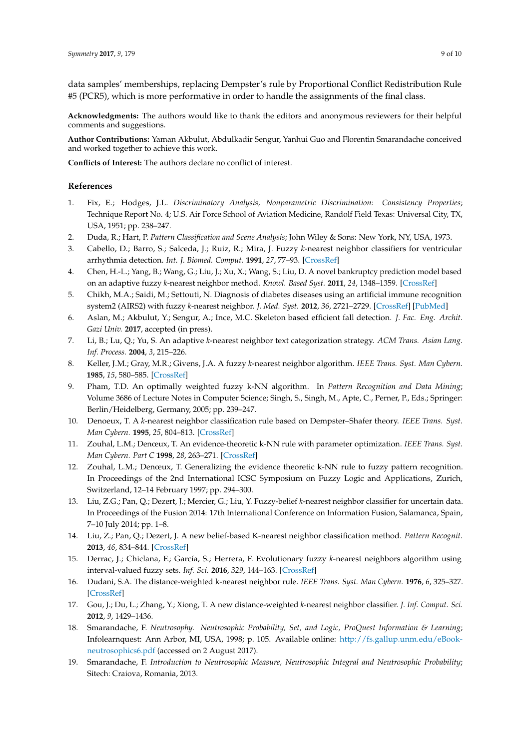data samples' memberships, replacing Dempster's rule by Proportional Conflict Redistribution Rule #5 (PCR5), which is more performative in order to handle the assignments of the final class.

**Acknowledgments:** The authors would like to thank the editors and anonymous reviewers for their helpful comments and suggestions.

**Author Contributions:** Yaman Akbulut, Abdulkadir Sengur, Yanhui Guo and Florentin Smarandache conceived and worked together to achieve this work.

**Conflicts of Interest:** The authors declare no conflict of interest.

#### **References**

- <span id="page-8-0"></span>1. Fix, E.; Hodges, J.L. *Discriminatory Analysis, Nonparametric Discrimination: Consistency Properties*; Technique Report No. 4; U.S. Air Force School of Aviation Medicine, Randolf Field Texas: Universal City, TX, USA, 1951; pp. 238–247.
- <span id="page-8-1"></span>2. Duda, R.; Hart, P. *Pattern Classification and Scene Analysis*; John Wiley & Sons: New York, NY, USA, 1973.
- <span id="page-8-2"></span>3. Cabello, D.; Barro, S.; Salceda, J.; Ruiz, R.; Mira, J. Fuzzy *k*-nearest neighbor classifiers for ventricular arrhythmia detection. *Int. J. Biomed. Comput.* **1991**, *27*, 77–93. [\[CrossRef\]](http://dx.doi.org/10.1016/0020-7101(91)90089-W)
- <span id="page-8-3"></span>4. Chen, H.-L.; Yang, B.; Wang, G.; Liu, J.; Xu, X.; Wang, S.; Liu, D. A novel bankruptcy prediction model based on an adaptive fuzzy *k*-nearest neighbor method. *Knowl. Based Syst.* **2011**, *24*, 1348–1359. [\[CrossRef\]](http://dx.doi.org/10.1016/j.knosys.2011.06.008)
- <span id="page-8-4"></span>5. Chikh, M.A.; Saidi, M.; Settouti, N. Diagnosis of diabetes diseases using an artificial immune recognition system2 (AIRS2) with fuzzy *k*-nearest neighbor. *J. Med. Syst.* **2012**, *36*, 2721–2729. [\[CrossRef\]](http://dx.doi.org/10.1007/s10916-011-9748-4) [\[PubMed\]](http://www.ncbi.nlm.nih.gov/pubmed/21695498)
- <span id="page-8-5"></span>6. Aslan, M.; Akbulut, Y.; Sengur, A.; Ince, M.C. Skeleton based efficient fall detection. *J. Fac. Eng. Archit. Gazi Univ.* **2017**, accepted (in press).
- <span id="page-8-6"></span>7. Li, B.; Lu, Q.; Yu, S. An adaptive *k*-nearest neighbor text categorization strategy. *ACM Trans. Asian Lang. Inf. Process.* **2004**, *3*, 215–226.
- <span id="page-8-7"></span>8. Keller, J.M.; Gray, M.R.; Givens, J.A. A fuzzy *k*-nearest neighbor algorithm. *IEEE Trans. Syst. Man Cybern.* **1985**, *15*, 580–585. [\[CrossRef\]](http://dx.doi.org/10.1109/TSMC.1985.6313426)
- <span id="page-8-8"></span>9. Pham, T.D. An optimally weighted fuzzy k-NN algorithm. In *Pattern Recognition and Data Mining*; Volume 3686 of Lecture Notes in Computer Science; Singh, S., Singh, M., Apte, C., Perner, P., Eds.; Springer: Berlin/Heidelberg, Germany, 2005; pp. 239–247.
- <span id="page-8-9"></span>10. Denoeux, T. A *k*-nearest neighbor classification rule based on Dempster–Shafer theory. *IEEE Trans. Syst. Man Cybern.* **1995**, *25*, 804–813. [\[CrossRef\]](http://dx.doi.org/10.1109/21.376493)
- <span id="page-8-10"></span>11. Zouhal, L.M.; Denœux, T. An evidence-theoretic k-NN rule with parameter optimization. *IEEE Trans. Syst. Man Cybern. Part C* **1998**, *28*, 263–271. [\[CrossRef\]](http://dx.doi.org/10.1109/5326.669565)
- <span id="page-8-11"></span>12. Zouhal, L.M.; Denœux, T. Generalizing the evidence theoretic k-NN rule to fuzzy pattern recognition. In Proceedings of the 2nd International ICSC Symposium on Fuzzy Logic and Applications, Zurich, Switzerland, 12–14 February 1997; pp. 294–300.
- <span id="page-8-12"></span>13. Liu, Z.G.; Pan, Q.; Dezert, J.; Mercier, G.; Liu, Y. Fuzzy-belief *k*-nearest neighbor classifier for uncertain data. In Proceedings of the Fusion 2014: 17th International Conference on Information Fusion, Salamanca, Spain, 7–10 July 2014; pp. 1–8.
- <span id="page-8-13"></span>14. Liu, Z.; Pan, Q.; Dezert, J. A new belief-based K-nearest neighbor classification method. *Pattern Recognit.* **2013**, *46*, 834–844. [\[CrossRef\]](http://dx.doi.org/10.1016/j.patcog.2012.10.001)
- <span id="page-8-14"></span>15. Derrac, J.; Chiclana, F.; García, S.; Herrera, F. Evolutionary fuzzy *k*-nearest neighbors algorithm using interval-valued fuzzy sets. *Inf. Sci.* **2016**, *329*, 144–163. [\[CrossRef\]](http://dx.doi.org/10.1016/j.ins.2015.09.007)
- <span id="page-8-15"></span>16. Dudani, S.A. The distance-weighted k-nearest neighbor rule. *IEEE Trans. Syst. Man Cybern.* **1976**, *6*, 325–327. [\[CrossRef\]](http://dx.doi.org/10.1109/TSMC.1976.5408784)
- <span id="page-8-16"></span>17. Gou, J.; Du, L.; Zhang, Y.; Xiong, T. A new distance-weighted *k*-nearest neighbor classifier. *J. Inf. Comput. Sci.* **2012**, *9*, 1429–1436.
- <span id="page-8-17"></span>18. Smarandache, F. *Neutrosophy. Neutrosophic Probability, Set, and Logic, ProQuest Information & Learning*; Infolearnquest: Ann Arbor, MI, USA, 1998; p. 105. Available online: [http://fs.gallup.unm.edu/eBook](http://fs.gallup.unm.edu/eBook-neutrosophics6.pdf)[neutrosophics6.pdf](http://fs.gallup.unm.edu/eBook-neutrosophics6.pdf) (accessed on 2 August 2017).
- <span id="page-8-18"></span>19. Smarandache, F. *Introduction to Neutrosophic Measure, Neutrosophic Integral and Neutrosophic Probability*; Sitech: Craiova, Romania, 2013.